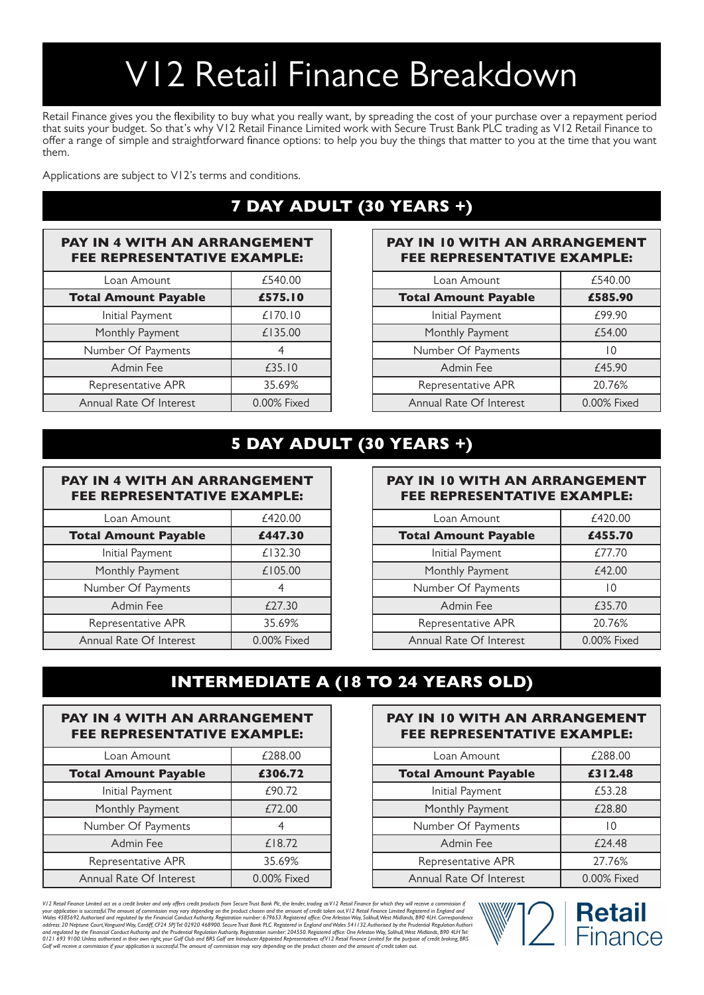# V12 Retail Finance Breakdown

Retail Finance gives you the flexibility to buy what you really want, by spreading the cost of your purchase over a repayment period that suits your budget. So that's why V12 Retail Finance Limited work with Secure Trust Bank PLC trading as V12 Retail Finance to offer a range of simple and straightforward finance options: to help you buy the things that matter to you at the time that you want them.

Applications are subject to V12's terms and conditions.

## 7 DAY ADULT (30 YEARS +)

## PAY IN 4 WITH AN ARRANGEMENT FEE REPRESENTATIVE EXAMPLE:

| Loan Amount                 | £540.00     |
|-----------------------------|-------------|
| <b>Total Amount Payable</b> | £575.10     |
| Initial Payment             | £170.10     |
| Monthly Payment             | £135.00     |
| Number Of Payments          |             |
| Admin Fee                   | £35.10      |
| Representative APR          | 35.69%      |
| Annual Rate Of Interest     | 0.00% Fixed |

#### PAY IN 10 WITH AN ARRANGEMENT FEE REPRESENTATIVE EXAMPLE:

| Loan Amount                 | £540.00     |
|-----------------------------|-------------|
| <b>Total Amount Payable</b> | £585.90     |
| Initial Payment             | £99.90      |
| Monthly Payment             | £54.00      |
| Number Of Payments          | 10          |
| Admin Fee                   | £45.90      |
| Representative APR          | 20.76%      |
| Annual Rate Of Interest     | 0.00% Fixed |

## 5 DAY ADULT (30 YEARS +)

## PAY IN 4 WITH AN ARRANGEMENT FEE REPRESENTATIVE EXAMPLE:

| Loan Amount                 | £420.00     |
|-----------------------------|-------------|
| <b>Total Amount Payable</b> | £447.30     |
| Initial Payment             | £132.30     |
| Monthly Payment             | £105.00     |
| Number Of Payments          |             |
| Admin Fee                   | £27.30      |
| Representative APR          | 35.69%      |
| Annual Rate Of Interest     | 0.00% Fixed |

#### PAY IN 10 WITH AN ARRANGEMENT FEE REPRESENTATIVE EXAMPLE:

| Loan Amount                 | £420.00     |
|-----------------------------|-------------|
| <b>Total Amount Payable</b> | £455.70     |
| Initial Payment             | £77.70      |
| Monthly Payment             | £42.00      |
| Number Of Payments          | 10          |
| Admin Fee                   | £35.70      |
| Representative APR          | 20.76%      |
| Annual Rate Of Interest     | 0.00% Fixed |

## INTERMEDIATE A (18 TO 24 YEARS OLD)

| <b>PAY IN 4 WITH AN ARRANGEMENT</b><br><b>FEE REPRESENTATIVE EXAMPLE:</b> |             |
|---------------------------------------------------------------------------|-------------|
| Loan Amount                                                               | £288.00     |
| <b>Total Amount Payable</b>                                               | £306.72     |
| Initial Payment                                                           | £90.72      |
| Monthly Payment                                                           | £72.00      |
| Number Of Payments                                                        |             |
| Admin Fee                                                                 | £18.72      |
| Representative APR                                                        | 35.69%      |
| Annual Rate Of Interest                                                   | 0.00% Fixed |

## PAY IN 10 WITH AN ARRANGEMENT FEE REPRESENTATIVE EXAMPLE:

| Loan Amount                 | £288.00     |
|-----------------------------|-------------|
| <b>Total Amount Payable</b> | £312.48     |
| Initial Payment             | £53.28      |
| Monthly Payment             | £28.80      |
| Number Of Payments          | 10          |
| Admin Fee                   | £24.48      |
| Representative APR          | 27.76%      |
| Annual Rate Of Interest     | 0.00% Fixed |

VI 2 Retail Finance Limited act as a credit broker and only offers credit products from Secure Tust Bank Pk, the lender, trading as VI 2 Retail Finance Limited Registered in England and<br>Volume Limited act as a credit broke